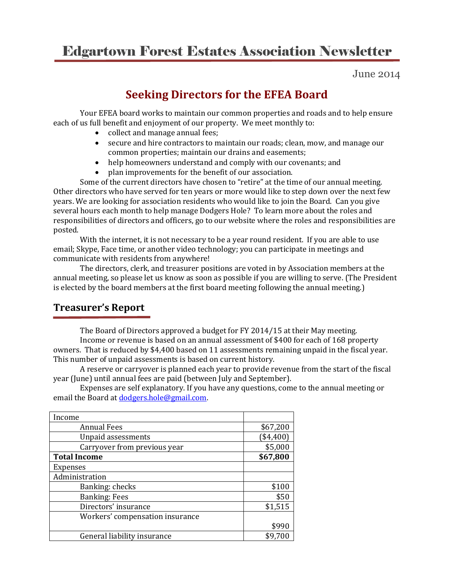# Edgartown Forest Estates Association Newsletter

June 2014

## **Seeking Directors for the EFEA Board**

Your EFEA board works to maintain our common properties and roads and to help ensure each of us full benefit and enjoyment of our property. We meet monthly to:

- collect and manage annual fees;
- secure and hire contractors to maintain our roads; clean, mow, and manage our common properties; maintain our drains and easements;
- help homeowners understand and comply with our covenants; and
- plan improvements for the benefit of our association.

Some of the current directors have chosen to "retire" at the time of our annual meeting. Other directors who have served for ten years or more would like to step down over the next few years. We are looking for association residents who would like to join the Board. Can you give several hours each month to help manage Dodgers Hole? To learn more about the roles and responsibilities of directors and officers, go to our website where the roles and responsibilities are posted.

With the internet, it is not necessary to be a year round resident. If you are able to use email; Skype, Face time, or another video technology; you can participate in meetings and communicate with residents from anywhere!

The directors, clerk, and treasurer positions are voted in by Association members at the annual meeting, so please let us know as soon as possible if you are willing to serve. (The President is elected by the board members at the first board meeting following the annual meeting.)

### **Treasurer's Report**

The Board of Directors approved a budget for FY 2014/15 at their May meeting. Income or revenue is based on an annual assessment of \$400 for each of 168 property owners. That is reduced by \$4,400 based on 11 assessments remaining unpaid in the fiscal year. This number of unpaid assessments is based on current history.

A reserve or carryover is planned each year to provide revenue from the start of the fiscal year (June) until annual fees are paid (between July and September).

Expenses are self explanatory. If you have any questions, come to the annual meeting or email the Board a[t dodgers.hole@gmail.com.](mailto:dodgers.hole@gmail.com)

| Income                          |          |
|---------------------------------|----------|
| <b>Annual Fees</b>              | \$67,200 |
| <b>Unpaid assessments</b>       | \$4,400  |
| Carryover from previous year    | \$5,000  |
| <b>Total Income</b>             | \$67,800 |
| <b>Expenses</b>                 |          |
| Administration                  |          |
| Banking: checks                 | \$100    |
| <b>Banking: Fees</b>            | \$50     |
| Directors' insurance            | \$1,515  |
| Workers' compensation insurance |          |
|                                 | \$990    |
| General liability insurance     | \$9,700  |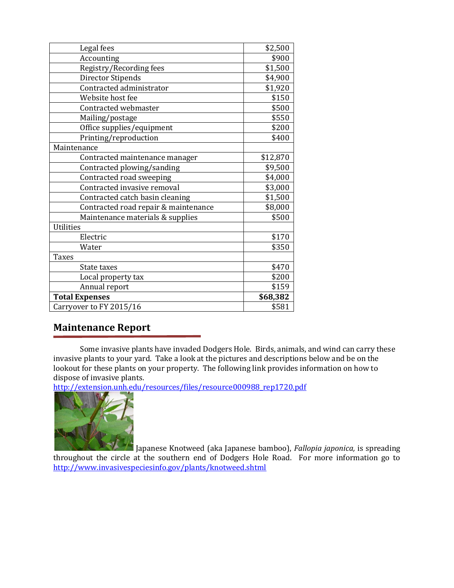| Legal fees                           | \$2,500  |
|--------------------------------------|----------|
| Accounting                           | \$900    |
| Registry/Recording fees              | \$1,500  |
| <b>Director Stipends</b>             | \$4,900  |
| Contracted administrator             | \$1,920  |
| Website host fee                     | \$150    |
| Contracted webmaster                 | \$500    |
| Mailing/postage                      | \$550    |
| Office supplies/equipment            | \$200    |
| Printing/reproduction                | \$400    |
| Maintenance                          |          |
| Contracted maintenance manager       | \$12,870 |
| Contracted plowing/sanding           | \$9,500  |
| Contracted road sweeping             | \$4,000  |
| Contracted invasive removal          | \$3,000  |
| Contracted catch basin cleaning      | \$1,500  |
| Contracted road repair & maintenance | \$8,000  |
| Maintenance materials & supplies     | \$500    |
| <b>Utilities</b>                     |          |
| Electric                             | \$170    |
| Water                                | \$350    |
| <b>Taxes</b>                         |          |
| State taxes                          | \$470    |
| Local property tax                   | \$200    |
| Annual report                        | \$159    |
| <b>Total Expenses</b>                | \$68,382 |
| Carryover to FY 2015/16              | \$581    |

### **Maintenance Report**

Some invasive plants have invaded Dodgers Hole. Birds, animals, and wind can carry these invasive plants to your yard. Take a look at the pictures and descriptions below and be on the lookout for these plants on your property. The following link provides information on how to dispose of invasive plants.

[http://extension.unh.edu/resources/files/resource000988\\_rep1720.pdf](http://extension.unh.edu/resources/files/resource000988_rep1720.pdf)



Japanese Knotweed (aka Japanese bamboo), *Fallopia japonica,* is spreading throughout the circle at the southern end of Dodgers Hole Road. For more information go to <http://www.invasivespeciesinfo.gov/plants/knotweed.shtml>